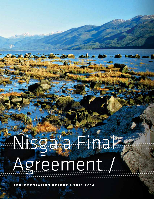# Nisgaraminal Agreement /

**Implementat ion Report / 2013-2014**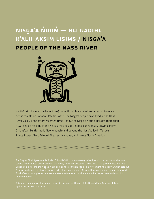# NISGA'A NUUM — HLI GADIHL K K'ALII-AKSIM LISIMS / NI<mark>SGA'A —</mark> People of the Nass River



K - 'alii-Aksim Lisims (the Nass River) flows through a land of sacred mountains and dense forests on Canada's Pacific Coast. The Nisga'a people have lived in the Nass River Valley since before recorded time. Today, the Nisga'a Nation includes more than 7,043 people residing in the Nisga'a Villages of Gingolx, Laxgalts'ap, Gitwinksihlkw, Gitlaxt'aamiks (formerly New Aiyansh) and beyond the Nass Valley in Terrace, Prince Rupert/Port Edward, Greater Vancouver, and across North America.

# 

The Nisga'a Final Agreement is British Columbia's first modern treaty. A landmark in the relationship between<br>Canalysis of the United States of the Canalysis of the Canalysis of the Canalysis of the Canalysis of the Unit Canada and its First Nations peoples, the Treaty came into effect on May 11, 2000. The governments of Canada, British Columbia, and the Nisg-a'a Nation are partners in the Nisg-a'a Final Agreement (the Treaty), which sets out Nisga'a Lands and the Nisga'a people's right of self-government. Because three governments share responsibility<br>for the Tractor and include that in committee was formed to musicle a forme for the performate discuss it. for the Treaty, an implementation committee was formed to provide a forum for the partners to discuss its implementation.

April 1, 2013 to March 31, 2014.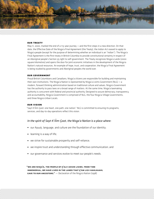

#### **Our Treaty**

May 11, 2000, marked the end of a 113-year journey - and the first steps in a new direction. On that date, the Effective Date of the Nisga'a Final Agreement (the Treaty), the *Indian Act* ceased to apply to<br>All and the above the contract of the contract of the contract of the contract of the contract of the contract Nisga'a people (except for the purpose of determining whether an individual is an "Indian"). The Nisga'a<br>E Final Agreement is the first treaty in British Columbia to provide constitutional certainty in respect of an Aboriginal people's Section 35 right to self-government. The Treaty recognizes Nisga'a Lands (2000)<br>این سال ایرانی این این ایرانی ایرانی ایرانی ایرانی ایرانی ایرانی ایرانی ایرانی ایرانی ایرانی ایرانی ایرانی ایر square kilometres) and opens the door for joint economic initiatives in the development of the Nisga'a<br>Alais and all the Nisga'a Nation's natural resources. An example of hope, trust, and cooperation, the Nisga'a Final Agreement<br>. is being studied by governments and Aboriginal peoples the world over.

#### **Our Government**

Proud British Columbians and Canadians, Nisg-a'a citizens are responsible for building and maintaining their own institutions. The Nisga'a Nation is represented by Nisga'a Lisims Government (NLG) — a<br>And the contribution is a contribution of the contribution of the contribution of the contribution of the cont modern, forward thinking administration based on traditional culture and values. Nisg-a'a Government has the authority to pass laws on a broad range of matters. At the same time, Nisg-a'a lawmaking authority is concurrent with federal and provincial authority. Designed to assure democracy, transparency, and accountability, Nisga'a Government is comprised of NLG, the four Nisga'a Village Governments, and three Nisga'a Urban Locals.<br>.

#### **Our Vision**

"Sayt-K'il' im-G-oot: one heart, one path, one nation." NLG is committed to ensuring its programs, services, and day-to-day operations reflect this vision.

# *In the spirit of Sayt-K'il' im-G- oot, the Nisg-a'a Nation is a place where:*

- $\bullet\;\;$  our Ayuuk, language, and culture are the foundation of our identity;
- learning is a way of life;
- we strive for sustainable prosperity and self-reliance;
- we inspire trust and understanding through effective communication; and
- our governance and services evolve to meet our people's needs.

"WE ARE NISGA'A, THE PEOPLE OF K'ALII-AKSIM LISIMS. FROM TIME IMMEMORIAL, WE HAVE LIVED IN THE LANDS THAT K'AM LIGII HAHLHAAHL **GAVE TO OUR ANCESTORS."** — Declaration of the Nisga'a Nation (1998)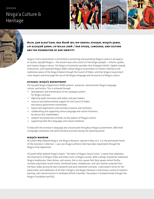# Nisga'a Culture &<br>Haritaga Heritage >>>>>



## **a**<br>Anlhl gan aluut'aahl naa nuum wil dip hooxhl ayuukhl nisga'a ganhl LIP ALGAXAM GANHL LIP WILAA LOOM / OUR AYUUK, LANGUAGE, AND CULTURE **are the foundation of our identity**

Nisga'a Lisims Government is committed to protecting and promoting Nisga'a culture in all aspects<br>- All and a culture in all aspects of society. Ayuukhl Nisga'a — the ancient laws and customs of the Nisga'a people — informs, guides, and inspires Nisga'a culture. The Nisga'a Constitution provides that Simgigat (chiefs), Sigidim haanak-(matriarchs), and respected Nisg-a'a elders advise Nisg-a'a Government on matters relating to the traditional values of the Nisga'a Nation through the Council of Elders, and that Nisga'a Government<br>All the College of the Nisga'a Nation (all the Council of Elders, and that Nisga'a Government must respect and encourage the use of the Nisga'a language and the practice of Nisga'a culture.<br>.

# **Ayuuk- hl Nisg - a'a Department**

The Ayuuk-hl Nisg-a'a Department (AND) protects, preserves, and promotes Nisg-a'a language, culture, and history. This is achieved through:

- ́ development and maintenance of the catalogue system for Nisga'a archives;<br>www.com
- ́ digitizing audio interviews with elders and past leaders;
- resource and administrative support for the Council of Elders and various government committees;
- ́ liaison and negotiations with outside museums and institutes;
- ́ collaborating and supporting various language and culture initiatives by various NLG stakeholders;
- For research and production of books on key aspects of Nisga'a culture;<br>experience of the contract of the contract of the contract of the contract of the contract of the contract of
- ́ supporting other NLG languages and culture initiatives.

To help with the increase in language and cultural work throughout Nisg-a'a Government, AND hired a language coordinator and administrative assistant during the reporting period.

# **Nisg - a'a Museum**

Hli G-oothl Wilp-Adok-shl Nisg-a'a, the Nisg-a'a Museum, opened in May 2011. It is the permanent home of the Ancestors' Collection — over 300 Nisga'a artifacts that have been repatriated through the<br>Nissensis Time Nisga'a Final Agreement.<br>'

Hli G-oothl Wilp-Adok-shl Nisg-a'a means "The Heart of Nisg-a'a House Crests," a name that celebrates the importance of Nisga'a tribes and tribal crests in Nisga'a society. With a design inspired by traditional<br>All and the control of the control of the control of the control of the control of the control of the control o Nisg-a'a longhouses, feast dishes, and canoes, the 10,000 square foot (929 square metre) facility contains exquisitely carved masks, bentwood boxes, headdresses, and soul catchers acquired from the Nass Valley during the late nineteenth and early twentieth centuries. A permanent home for the preservation and celebration of all that is Nisga'a, the Nisga'a Museum is becoming a centre of research,<br>All the Night of the Night of the Night of the Night of the Night of the Night of the Night of the Night of th learning, and cultural tourism in northwest British Columbia. The project is funded entirely through the Nisga'a Foundation and NLG.<br>.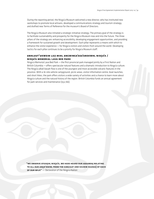During the reporting period, the Nisg-a'a Museum welcomed a new director, who has instituted new workshops to promote local artisans, developed a communications strategy and tourism strategy, and drafted new Terms of Reference for the museum's Board of Directors.

The Nisga'a Museum also initiated a strategic initiative strategy. The primary goal of the strategy is<br>Also also also included a strategy is a strategy of the strategy is a strategy of the strategy is a strategy i to facilitate sustainability and prosperity for the Nisg-a'a Museum now and into the future. The three pillars of the strategy are: enhancing accessibility, developing engagement opportunities, and providing a framework for sustained growth and development. Each pillar represents a means with which to enhance the visitor experience —— for Nisg-a'a visitors and visitors from around the world. Developing tactics for each pillar continues to be a priority for Nisga'a Museum staff.<br>.

## **Anhluut'ukwsim Lax- -mihl Angwinga'asa'anskwhl Nisg - a'a / Nisg - a'a Memorial Lava Bed Park**

Nisga'a Memorial Lava Bed Park — the first provincial park managed jointly by a First Nation and<br>Rain Lack Little Co British Columbia — offers spectacular natural features and a dramatic introduction to Nisga'a culture.<br>The Nissan Walter and Colombia and Colombia and a colombia and colombia and colombia and colombia and colombia The Nisg-a'a alkali basalt flow is one of the youngest and most accessible volcanic features in the province. With a 16-site vehicle campground, picnic areas, visitor information centre, boat launches, and short hikes, the park offers visitors a wide variety of activities and a chance to learn more about Nisga'a culture and the natural history of the region. British Columbia funds an annual agreement<br>Canada for park services and maintenance (\$52,166).

"WE OBSERVE AYUUKHL NISGA'A, WE HAVE HEARD OUR ADAAWAK RELATING<br>... TO ALL OUR ANGO'OSKW, FROM THE SIMGIGAT AND SIGIDIM HAANAK OF EACH **of our wilp."** — Declaration of the Nisga'a Nation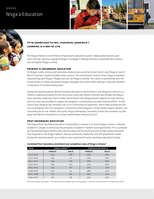# >>>>> Nisga'a Education



## **Ts'im g - anwilaak'ils wil luusisgihl g - andidils / Learning is a way of life**

The Nisg-a'a Nation is committed to improving its education system, helping adult learners gain more training, and encouraging all Nisg-a'a to engage in lifelong learning to help build the economy and strengthen Nisga'a society.<br>'

#### **Primary & Secondary Education**

On Nisga'a Lands, primary and secondary students are served by School District #92 (Nisga'a), part of British Columbia's publicly funded school system. The school board consists of four Nisga'a members<br>( (representing each Nisga'a Village) and one non-Nisga'a member. NLG works in partnership with the<br>Calcul Biothical Care School District to foster and protect Nisga'a language and culture while seeking to raise the standard<br>
Sandard School (1999) of education for all Nass Valley youth.

During the reporting period, British Columbia allocated to School District #92 (Nisg-a'a) a total of \$7.3 million in operating funding for the 2013/2014 school year. British Columbia also funded the Nisga'a<br>Factorial the Nisga'a Early Learning Leadership Team to help School District #92 (Nisg-a'a) build capacity for early learning, and \$102,400 was provided to support the program in coordinating local early learning efforts. School District #92 (Nisg-a'a) also received \$126,721 in CommunityLink payments, which helps provide services such as breakfast and lunch programs, community school programs, school-based support workers, and counselling for at-risk children and youth. Nisg-a'a Elementary Secondary School also received a \$3,880 grant from British Columbia for its school-based Parent Advisory Council.

#### **Post-Secondary Education**

The Nisg-a'a Post-Secondary Education Funding Policy's mission is to assist Nisg-a'a citizens, ordinarily resident in Canada, in embracing the principles of academic freedom and responsibility. This is achieved by maintaining Nisg-a'a identity and cultural values and by ensuring access to high-quality education that responds to the Nisga'a Nation's diverse community, leadership, and self-government needs.<br>Pathwald During the reporting period, 323 students were sponsored for post-secondary education funding.

| Combined Post-Secondary enrollment and completion rates of Nisga'a citizens* |  |
|------------------------------------------------------------------------------|--|
|                                                                              |  |

| <b>YEAR</b> | ENROLLMENT <sup>**</sup> |             | <b>COMPLETION RATE %</b> |      |
|-------------|--------------------------|-------------|--------------------------|------|
|             | <b>FEMALE</b>            | <b>MALE</b> | <b>FEMALE</b>            | MALE |
| 2013-2014   | 135                      | 166         | 49%                      | 56%  |
| 2012-2013   | 145                      | 72          | 54%                      | 65%  |
| 2011-2012   | 153                      | 128         | 66%                      | 85%  |
| 2010-2011   | 169                      | 107         | 53%                      | 65%  |
| 2009-2010   | 144                      | 87          | 70%                      | 75%  |
| 2008-2009   | 128                      | 92          | 48%                      | 52%  |
| 2007-2008   | 152                      | 104         | 49%                      | 47%  |
| 2006-2007   | 126                      | 58          | 42%                      | 47%  |

\*Who were eligible to graduate. \*\*Includes university, college, Open Learning Agency, institutes, and private post-secondary institutions.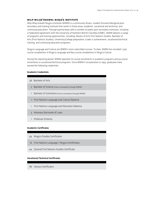# **Wilp Wilx- o'oskwhl Nisg - a'a Institute**

Wilp Wilx-o'oskwhl Nisg-a'a Institute (WWNI) is a community driven, student focused Aboriginal postsecondary and training institute that works in three areas: academic, vocational and technical, and continuing education. Through partnerships with a number of public post-secondary institutes, including a Federated Agreement with the University of Northern British Columbia (UNBC), WWNI delivers a range of programs and training opportunities, including: Master of Arts First Nations Studies, Bachelor of Arts (First Nations Studies), University/College preparation, Grade 12 achievement, vocational/technical training, and continuing education programs.

Nisga'a Language and Culture are WWNI's most subscribed courses. To date, WWNI has recorded 1,536<br>Alisa di Alisa di Alisa di Alisa di Alisa di Alisa di Alisa di Alisa di Alisa di Alisa di Alisa di Alisa di Al course completions in Nisga'a Language and 840 course completions in Nisga'a Culture.<br>.

During the reporting period, WWNI reported 170 course enrolments in academic programs and 93 course enrolments in vocational/technical programs. Since WWNI's incorporation in 1993, graduates have earned the following credentials.

#### Academic Credentials

- 38 Bachelor of Arts
- 2 Bachelor of Science (most coursework through WWNI)
- 1 Bachelor of Commerce (most coursework through WWNI)
- 1 First Nations Language and Culture Diploma
- 1 First Nations Language and Education Diploma
- 3 Honorary Doctorate of Laws
- 1 Professor Emerita

#### Academic Certificates

- 49 Nisga'a Studies Certificates
- 16 First Nations Language / Nisga'a Certificates
- 44 General First Nations Studies Certificate

#### Vocational/Technical Certificates

86 Various Certificates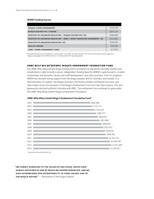#### WWNI Funding Sources

| NISCA'A LISIMS GOVERNMENT                                             | \$110,705 |
|-----------------------------------------------------------------------|-----------|
| NISGA'A NATION FFA / CANADA                                           | \$376,124 |
| MINISTRY OF ADVANCED EDUCATION - NISGA'A NATION FFA / BC              | \$280,000 |
| MINISTRY OF ADVANCED EDUCATION - UNBC / WWNI FEDERATED AGREEMENT / BC | \$216,000 |
| MINISTRY OF ADVANCED EDUCATION / BC                                   | \$158,782 |
| <b>HEALTH CANADA</b>                                                  | \$61,583  |
| UNBC / WWNI ENDOWMENT FUND <sup>*</sup>                               | \$77,675  |
|                                                                       |           |

\*Through the Vancouver Foundation. Current Value: \$1,071,892. Accrued interest from this fund provides partial support to Nisga'a Language at the WWN Institute. No disbursement in reporting period.<br>.

# **UNBC Wilp Wilx- o'oskwhl Nisg - a'a Endowment Foundation Fund**

The UNBC Wilp Wilx-o'oskwhl Nisg-a'a Endowment Foundation (a registered charitable society) was established in order to build a secure, independent funding base for WWNI's capital projects, student scholarships and bursaries, faculty and staff development, and other priorities. From its inception, wwnI has received strong support from the Nisga'a people, British Columbia, and Canada. In a<br>. demonstration of support, the Nisga'a business community initially contributed \$100,000, and<br>demonstration of support, the Nisga'a business community initially contributed \$100,000, and later made a \$250,000 donation to the Nisga'a Endowment Fund (as it was then known). This was later was the st generously matched by British Columbia and UNBC. The endowment has continued to grow under the UNBC Wilp Wilxo'oskwhl Nisga'a Endowment Foundation.<br>.



# UNBC Wilp Wilxo'oskwhl Nisga'a Endowment Foundation Fund\*

\*Annual fund value (on March 31).

"WE COMMIT OURSELVES TO THE VALUES OF OUR AYUUK, WHICH HAVE always sustained us and by which we govern ourselves, and we each acknowledge our accountability to those values, and to **THE NISGA'A NATION."** — Declaration of the Nisga'a Nation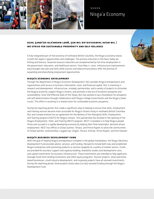

# Nisga'a Economy >>>>>

## **Sgihl g - andi'ak-hla'amskw loom' , g - an wil dip dixyugwihl ha'am wil / We strive for sustainable prosperity and self-reliance**

A fully integrated part of the economy of northwest British Columbia, the Nisga'a economy shares<br>And the Marine of the Nissan of the United States of the Nissan of the Nissan of the Nissan of the Nissan of t in both the region's opportunities and challenges. The primary industries in the Nass Valley are fishing and forestry. Seasonal resource industries are complemented by full-time employment in the government, education, and healthcare sectors. Since May 11, 2000, infrastructure improvements have brought new jobs and skills while tourism and telecommunications offer the promise of expanding and diversifying employment opportunities.

# **Nisg - a'a Economic Development**

Through the department of Nisga'a Economic Development, NLG provides Nisga'a entrepreneurs and<br>Alleged and the control of the control of the control of the control of the control of the control of the cont organizations with access to business information, tools, and financial capital. NLG is investing in research and development, infrastructure, strategic partnerships, and a variety of projects to stimulate the Nisga'a economy, support Nisga'a citizens, and promote a new era of economic prosperity and<br>All China Citizens, and LECC and LECC and LECC and LECC and Lectures and Lectures of Lectures of sustainability. Since the Effective Date of the Treaty, NLG has worked to lay a foundation for prosperity and self-determination through collaboration with Nisg-a'a Village Governments and the Nisg-a'a Urban Locals. This effort is resulting in a shared vision for sustainable economic prosperity.

During the reporting period, NLG made a significant step in helping to ensure that skills, employment, and training services became more accessible for Nisg-a'a citizens living in northwest British Columbia. NLG and Canada entered into an agreement for the delivery of the Aboriginal Skills, Employment, and Training program (ASETS) for Nisga'a citizens. This partnership has resulted in the opening of the<br>Alimental control of the case of the control of the case of the case of the case of the case of the case of th Nisga'a Employment, Skills, and Training (NEST) program. NEST's mandate is to help Nisga'a people<br>... thrive and succeed in a rapidly developing economy by helping them find meaningful, demand-driven, employment. NEST has offices in Gitlaxt'aamiks, Terrace, and Prince Rupert to serve the communities of Gitlaxt'aamiks, Gitwinksihlkw, Laxgalts'ap, Gingolx, Terrace, Kitimat, Prince Rupert, and Port Edward.<br>.

# **Nisg - a'a Business Development Fund**

With the goal of helping Nisga'a entrepreneurs compete in the global marketplace, the Nisga'a Business<br>-Development Fund provides advice, services, and funding. Recipients include both new and established Nisga'a enterprises with promising products or services targeted at a variety of market sectors. Funds<br>All the contract of the contract of the contract of the contract of the contract of the contract of the contra are provided for business support and capacity building, feasibility studies and development costs, and capital investments for business infrastructure. These investments are intended to help applicants leverage funds from lending institutions and other equity programs. Tourism projects, retail and homebased businesses, small industry development, and corporate projects have all received investments. During the reporting period, three projects (total value \$70,165) received funding through the Nisga'a<br>P Development Fund.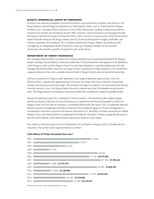# **Nisg - a'a Commercial Group of Companies**

To ensure the separation between commercial interests and government programs and services, the Nisga'a Nation created Nisga'a corporations to fulfill specific needs, such as marketing fish (Nisga'a<br>E Fisheries Ltd.), managing forest resources (Lisims Forest Resources), building a telecommunications infrastructure (enTel), and promoting tourism (NCG Tourism). These businesses are managed through the Nisg-a'a Commercial Group of Companies (NCG), with a mission to improve and sustain the economic wealth and well-being of the Nisg-a'a Nation and its citizens by being well managed, profitable, and having a reputation for excellence. NCG is wholly owned by the Nisg-a'a Nation, but professionally managed by an independent Board of Directors made up of leading members of the business community who provide a wealth of experience and candid advice.

#### **Department of Forest Resources**

NLG manages Nisga'a forests to protect this natural inheritance and to provide employment for Nisga'a<br>Alam Maria di San Maria di San Maria di San Maria di San Maria di San Maria di San Maria di San Maria di San M people. Ecological sustainability is a prime consideration in the development and approval of all operations within Nisg-a'a Lands, and the *Nisg-a'a Forest Act* sets high standards to maintain biodiversity. NLG also manages all land and forest resources on Nisga'a Lands, including non-timber resources. Pine mushrooms,<br>"We have a later that is a later that is a later that is a later that is a later that is a later that is a lat a popular delicacy in Asia, are a valuable resource found in Nisga'a forests and are harvested seasonally.<br>.

The forest resources on Nisga'a Lands represent a vast range of potential opportunities. Since the<br>ESS Effective Date, a significantly depressed forest economy has meant that only a relatively small timber harvest volume was economically viable. This situation has begun to improve. Since the end of the forestry transition period in 2005, the Nisg-a'a Nation has yet to harvest up to the full allowable annual harvest level. The Nisga'a Nation is entering an improving market with a significant supply of available timber.<br>.

During the reporting period, NLG completed its forest inventory. The resulting timber supply analysis will be used by NLG's Director of Land and Resources to determine the Annual Allowable Cut (AAC) for Nisga'a Lands until the next re-inventory is completed (likely within ten years). AAC is a judgment decision<br>. based on current management activities on the land that includes all aspects of forest management in consideration with other resources and resource interactions (i.e. the effect of timber harvesting on wildlife habitat). NLG's AAC determination is independent from British Columbia's Timbers Supply Review process and the Chief Forester's AAC determination and harvest levels on Crown lands.

NLG collects a silviculture levy to ensure reforestation of cut-blocks on Nisga'a Lands is funded over the<br>' long-term. The current fund is approximately \$1.5 million.



#### Cubic Metres of Timber Harvested Since 2001\*

\*Dollar value of timber sales reported beginning in 2006.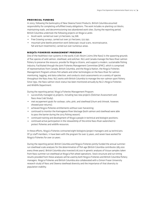#### **Provincial Funding**

In 2003, following the bankruptcy of New Skeena Forest Products, British Columbia assumed responsibility for completing unfulfilled treaty obligations. The work includes re-planting cut-blocks, maintaining roads, and decommissioning two abandoned work sites. During the reporting period, British Columbia undertook the following projects on Nisga'a Lands:<br>Charles Co

- **•** brush work, carried out over 5.6 hectares, \$4,768;
- ́ Free Growing surveys, carried out over 317 hectares, \$22,190;
- ́ mountain pine beetle prevention work (telescopic visual scans, reconnaissance, fall and burn treatments), carried out over numerous areas.

# **Nisg - a'a Fisheries Management Program**

One of the healthiest river systems in the world, K'alii-Aksim Lisims (the Nass) is the spawning grounds of five species of wild salmon, steelhead, and oolichan. NLG and Canada manage the Nass River salmon fishery to preserve the resource, provide for Nisg-a'a citizens, and support a modern, sustainable fishing industry. Facilitated through the Joint Fisheries Management Committee (JFMC), which is comprised of representatives from Canada, British Columbia, and the Nisga'a Nation, the Nisga'a Fisheries<br>At a change of the California of the Linds of the Linds of the Linds of the Linds of the Linds of the Linds of Management Program utilizes fish wheels and other technologies on the Nass River for salmon monitoring, tagging, and data collection, and conducts stock assessments on a variety of species throughout the Nass Area. NLG works with British Columbia to manage the non-salmon sport fishery. Since 1992, the Nass salmon stock status has been monitored annually by NLG's Nisg-a'a Fisheries and Wildlife Department.

During the reporting period, Nisga'a Fisheries Management Program:

- ́ successfully managed 25 projects, including two new projects (Oolichan Assessment and Nass Area Crab Study);
- ́ met escapement goals for sockeye, coho, pink, and steelhead (chum and chinook, however, showed poor returns);
- achieved Nisga'a fisheries entitlements without over-harvesting;<br>entitled in the state of the state of the state of the state of the state of the state of the state of the sta
- ́ continued to monitor the Kwinageese River blockage (both salmon and steelhead were able to pass the barrier during the 2013 fishing season);
- ́ continued training and development of Nisg-a'a people in technical and biologist positions;
- ́ continued active participation in the stewardship of the entire Nass River watershed to protect fisheries and wildlife resources.

In these efforts, Nisga'a Fisheries contracted eight biologists/project managers and 24 technicians.<br>Charles Care in the Care of the Care of the Care of the Care of the Care of the Care of the Care of the Care o Of 32 staff members, 11 have been with the program for over 15 years, and seven have worked for Nisga'a Fisheries for over 20 years.<br>'

During the reporting period, British Columbia and Nisga'a Fisheries jointly funded the annual summer-<br>Annual summerrun steelhead scale analyses for the determination of fish age (British Columbia contributes \$85,000 every three years). British Columbia also invested \$16,000 in genetic analyses of tissue samples taken from Nass summer run steelhead at Nisg-a'a fish wheel operations. Stock structure and run timing results provided from these analyses will be used by both Nisg-a'a Fisheries and British Columbia fishery managers. Nisg-a'a Fisheries and British Columbia also collaborated with a Simon Fraser University research study of Nass and Skeena steelhead diversity and the importance of that diversity to population stability.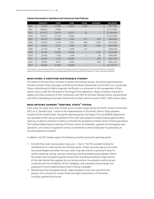| <b>SOCKEYE</b> | COHO   | PINK   | CHUM         | <b>CHINOOK</b> | <b>REVENUE</b> |
|----------------|--------|--------|--------------|----------------|----------------|
| 51,427         | 12,068 | 75,820 | 1,078        |                | \$637,000      |
| 108,814        | 6,800  |        |              |                | \$1,177,000    |
| 114,572        | 13,672 | 14,075 | 23           |                | \$1,326,000    |
| 116,671        | 17,170 | 8,983  |              |                | \$1,619,000    |
| 82,679         | 12,585 | 2,361  | 577          | 857            | \$956,000      |
| 64,253         | 5,249  | 3,042  | 948          | 1,946          | \$671,000      |
| 33,624         | 6,372  | 3,688  | 697          | 2,435          | \$484,000      |
| 17,728         | 793    | 3,438  | 276          |                | \$206,126      |
| 45,542         | 10,406 | 20,895 |              | 1,597          | \$624,000      |
| 33,818         | 7,768  | 1,338  | $\mathbf{1}$ | 28             | \$440,000      |
| 18,364         | 1,134  | 40.460 |              | 874            | \$347,435      |
| 39,961         | 9.037  | 3,628  |              | 649            | \$961,124      |
| 45,618         | 11,096 | 16,848 |              |                | \$1,278,777    |
|                |        |        |              |                |                |

#### Salmon Harvested in Individual and Communal Sale Fisheries

Chart based on the estimated number of individual fish caught during the Individual and Communal Sale fisheries. Estimated revenue to local economy based on annual average weight and price per pound for each species in Area 3 commercial fisheries.

#### **Nass River: A Certified Sustainable Fishery**

The health of the Nass River continues to garner international acclaim. During the reporting period, the Nass Sockeye fishery was again certified by the Marine Stewardship Council (MSC) as a sustainable fishery. Maintaining this highly respected certification is a testament to the management of Nass salmon stocks under the framework of the Nisga'a Final Agreement. Nisga'a Fisheries continued to address the three conditions of MSC certification with DFO for the Nass Sockeye fishery, and partnered with DFO in developing conservation benchmarks for Nass salmon as part of MSC's Wild Salmon Policy.

#### **Nass Retains Chinook "Sentinel Stock" Status**

Since 2009, the upper Nass River Chinook stock has been recognized by the Pacific Salmon Commission (PSC) as a "Sentinel Stock" critical to the implementation of the Pacific Salmon Treaty between Canada and the United States. During the reporting period, the Nisga'a Fish and Wildlife Department was awarded its fifth annual installment of this multi-year program funding (totaling approximately \$487,000 to date) to enhance its ability to estimate the abundance of these critical Chinook populations. The funding helped improve marking of Chinook salmon at fishwheels, augment the Kwinageese weir operations, and conduct escapement surveys on Damdochax Creek by helicopter for generating an accurate population estimate.

In addition, the PSC helped support the following activities during the reporting period.

- $\blacksquare$  Kincolith River side-channel project (\$40,000 Year 1): The PSC provided funding for rehabilitation of a side channel near hatchery ponds. A three-year plan was put into place that would deepen and widen the 1050 meter-long side channel so persistent flows for salmon spawning, rearing, and over-wintering could be provided by groundwater inflows. This project aims to prevent juvenile salmon from stranding and dying in large sections of the side channel that regularly dry out during summer. Groundwater monitoring was conducted with the installation of five standpipes, and a detailed channel design was prepared for future implementation when funding is available.
- ́ Monitoring of the Kwinageese barrier: Approximately \$17,000 was used (from the previous 2012 contract) to conduct three over-flight examinations of the barrier, including a geotechnical survey.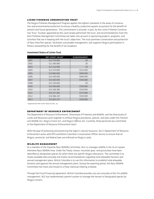#### **Lisims Fisheries Conservation Trust**

The Nisga'a Fisheries Management Program applies the highest standards in the areas of conserva-<br>... tion and environmental protection to ensure a healthy, productive aquatic ecosystem for the benefit of present and future generations. This commitment is ensured, in part, by the Lisims Fisheries Conservation Trust. Trustees appointed by NLG and Canada administer the trust, and recommendations from the Joint Fisheries Management Committee are taken into account in sponsoring projects, programs, and activities that are in keeping with the trust's objectives. The trust promotes conservation and protection of Nass Area fish species, facilitates sustainable management, and supports Nisga'a participation in<br>Side of the contribution of the control of the control of the control of the control of the control of the con fishery stewardship for the benefit of all Canadians.

|      | <b>NET ASSET VALUE<sup>1</sup></b> | <b>DISBURSEMENT</b> |
|------|------------------------------------|---------------------|
| 2001 | \$13,720,000                       | \$0                 |
| 2002 | \$12,300,000                       | \$0                 |
| 2003 | \$12,210,000                       | \$0                 |
| 2004 | \$13,370,000                       | \$313,000           |
| 2005 | \$14,860,000                       | \$600,000           |
| 2006 | \$15,590,000                       | \$600,000           |
| 2007 | \$15,650,000                       | \$550,000           |
| 2008 | \$12,230,000                       | \$0                 |
| 2009 | \$14,390,000                       | \$550,000           |
| 2010 | \$15,428,380                       | \$550,000           |
| 2011 | \$14,127,661                       | \$575,000           |
| 2012 | \$14,586,330                       | \$550,000           |
| 2013 | \$15,853,237                       | \$550,000           |

#### Investment Status of Lisims Trust

1 Approximate Net Asset Value (on Dec. 31).

#### **Department of Resource Enforcement**

The Department of Resource Enforcement, Directorate of Fisheries and Wildlife, and the Directorate of Lands and Resources work together to enforce Nisg-a'a procedures, policies, and laws under the *Fisheries and Wildlife Act*, *Nisg-a'a Forest Act*, and *Nisg-a'a Offence Act*. Currently, three personnel are committed to the Department of Resource Enforcement team.

With the goal of protecting and preserving the region's natural resources, NLG's Department of Resource Enforcement works with DFO and British Columbia's Conservation Officer Service to ensure that all Nisga'a, provincial, and federal laws are enforced on Nisga'a Lands.

#### **Wildlife Management**

As a member of the tripartite Nass Wildlife Committee, NLG co-manages wildlife in the 16,101 square kilometre Nass Wildlife Area. Under the Treaty, moose, mountain goat, and grizzly bear have been identified as designated species for which there are specific Nisg-a'a allocations. The committee is to review available data annually and makes recommendations regarding total allowable harvests and annual management plans. British Columbia is to use this information to establish total allowable harvests and approve the annual management plans. During the reporting period, the Nass Wildlife Committee met twice and moved to a fixed, biannual meeting schedule.

Through the Fiscal Financing Agreement, British Columbia provides \$20,000 annually to NLG for wildlife management. NLG has implemented a permit system to manage the harvest of designated species by Nisga'a citizens.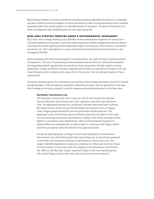Both the Nass Wildlife Committee and British Columbia previously identified the need for a comprehensive plan to define practical strategies to reverse the decline of Nass moose populations and re-establish population levels that would support a sustainable harvest for all parties. The goal of the parties is to have a management plan completed over the next reporting period.

#### **Nass Area Strategy Working Group & Environmental Assessment**

NLG's Nass Area Strategy Working Group (NASWG) reviews and prepares responses for various environmental referrals and processes. During the reporting period, NASWG reviewed referrals from British Columbia and Canada regarding mineral exploration projects, land tenures, forest tenures, environmental permits, etc. NLG's participation in various external Environmental Assessment processes is also managed by NASWG.

Where necessary, NLG hires technical experts to provide advice. NLG does not rely on technical experts of proponents. The costs of participating in environmental assessments (i.e. hiring technical experts and negotiating benefit agreements) are paid for by project proponents through capacity funding agreements. Canada and British Columbia undertake environmental assessments of projects that may impact Nisga'a Lands or interests and consult NLG in this process. NLG actively participates in these<br>. assessments.

During the reporting period, NLG convened a two-day Nass Area Strategy orientation session for recently elected members. Staff and advisors presented in detail the principles and the application of the Nass Area Strategy on the various projects currently underway and under development in the Nass Area.

#### Northwest Transmission Line

The Northwest Transmission Line is a 335-km, 287 kV transmission line between Skeena Substation (near Terrace) and a new substation to be built near Bob Quinn Lake. The agreement between NLG and British Columbia Hydro and Power Authority (BC Hydro) ensures that as long as the Northwest Transmission Line is on Nisg-a'a Lands, Nisga'a people will benefit and the environment will be protected. This<br>All the state of the state of the state of the state of the state of the state of the state of the state of th agreement marks the first time since the Effective Date that the rights of NLG under the Environmental Assessment and Protection Chapter of the Treaty have been tested. Rights to consultation were implemented, rights to environmental mitigation of adverse affects are complied with, as well as rights in connection with Nisga'a Nation economic participation were all achieved in this approval process.

During the reporting period, 31 Nisga'a citizens were employed on the Northwest<br>T Transmission Line, either directly with Nass Area Enterprises as the primary contractor, or with other sub-contractors working on the Northwest Transmission Line. The project's Benefits Agreement includes the installation of a fibre optic line from Terrace to Gitlaxt'aamiks in conjunction with the stringing of the hydroelectric transmission line. Work on the fibre optic project, expected to begin in the next reporting period, will connect Nisga'a communities with state of the art Internet connection.<br>.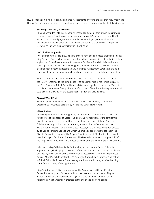NLG also took part in numerous Environmental Assessments involving projects that may impact the Nisga'a Nation's treaty interests. The most notable of these assessments involve the following projects.<br>.

#### Seabridge Gold Inc. / KSM Mine

NLG and Seabridge Gold Inc. (Seabridge) reached an agreement in principle on material components of a Benefits Agreement in connection with Seabridge's proposed KSM Project. The proposed project would include an open-pit gold, copper, silver, and molybdenum mine development near the headwaters of the Unuk River. The project is known as the Kerr-Sulphurets Mitchell (KSM) Mine.

#### LNG pipeline proposals

Two liquefied natural gas (LNG) pipeline projects have been proposed that would impact Nisg-a'a Lands. Spectra Energy and Prince Rupert Gas Transmission both submitted their applications for an Environmental Assessment Certificate from British Columbia and both applications were in the screening phase of environmental assessment. Should either or both proponents receive an Environmental Assessment Certificate, the next phase would be for the proponents to apply for permits such as a statutory right of way.

British Columbia, pursuant to a restrictive covenant issued on the Effective date of the Treaty, consented to the disturbance of certain lands held in fee simple by NLG in the Echo Cove area. British Columbia and NLG worked together to amend the Treaty to provide for the removal from park status of a corridor of land from the Nisg-a'a Memorial Lava Bed Park allowing for the possible construction of a LNG pipeline.

#### Stewart World Port

NLG engaged in preliminary discussions with Stewart World Port, a corporation proposing to construct a port facility in Portland Canal near Stewart.

#### Kitsault Mine

At the beginning of the reporting period, Canada, British Columbia, and the Nisga'a<br>Alaki Adam Adam Adam College College and the College College and the College and Nation were still engaged at Stage 1, Collaborative Negotiations, of the confidential Dispute Resolution process. The Disagreement was not resolved during Stage 1, Collaborative Negotiations, and in June 2013, Canada, British Columbia, and the Nisg-a'a Nation entered Stage 2, Facilitated Process, of the dispute resolution process by delivering Notice to Canada and British Columbia as per provisions set out in the Dispute Resolution chapter of the Nisg-a'a Final Agreement. The Parties determined that the Stage 2, Facilitated Process, would be Mediation pursuant to Appendix M of the Nisga'a Final Agreement, and agreed to a mediator, the Honourable Frank Iacobbuci.<br>.

In July 2013, Nisga'a Nation filed a Petition for judicial review in British Columbia<br>C Supreme Court, challenging the issuance of the environmental assessment certificate provided by the British Columbia Environmental Assessment Office for the proposed Kitsault Mine Project. In September 2013, Nisg-a'a Nation filed a Notice of Application in British Columbia Supreme Court seeking interim or interlocutory relief and setting dates for the hearing of the application.

Nisga'a Nation and British Columbia agreed to "Minutes of Settlement," dated<br>Care all the state of the change of the change of the change of the change of the change of the change of the September 12, 2013, and further to adjourn the interlocutory application. Nisga'a<br>Alaki San Halit La Lucci Links Nation and British Columbia were engaged in the development of a Settlement Agreement, which was still in progress at the end of the reporting period.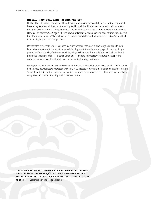# **Nisg - a'a Individual Landholding Project**

Holding the title to one's own land offers the potential to generate capital for economic development. Developing nations and their citizens are crippled by their inability to use the title to their lands as a means of raising capital. No longer bound by the *Indian Act*, this should not be the case for the Nisga'a<br>Alaid and all the Nisga'a Nation or its citizens. Yet Nisg-a'a citizens have, until recently, been unable to benefit from the equity in their homes and Nisga'a Villages have been unable to capitalize on their assets. The Nisga'a Individual<br>. Landholding Project has changed this.

Unrestricted fee simple ownership, possible since October 2012, now allows Nisg-a'a citizens to own land in fee simple and to be able to approach lending institutions for a mortgage without requiring a guarantee from the Nisg-a'a Nation. Providing Nisg-a'a citizens with the ability to use their residential properties to raise capital - like other Canadians - unlocks an important resource for supporting economic growth, investment, and increase prosperity for Nisga'a citizens.<br>.

During the reporting period, NLG and RBC Royal Bank were pleased to announce that Nisg-a'a fee simple holders may now register a mortgage with RBC. NLG expects to have a similar agreement with Northern Saving Credit Union in the next reporting period. To date, ten grants of fee simple ownership have been completed, and more are anticipated in the near future.

 $\lq$ the Nisga'a Nation will prosper as a self-reliant society with A SUSTAINABLE ECONOMY. NISGA'A CULTURE, SELF-DETERMINATION, and well-being will be preserved and enhanced for generations  $\,$  то сомв." — Declaration of the Nisga'a Nation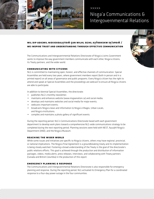

# Nisga'a Communications &<br>Intersexernmental Delation Intergovernmental Relations

 $>>>>>$ 

## WIL DIP ADIGWIL NIDIXDIDALKTDIM GAN WILHL SGIHL AXYOOKSKW SK'APDIM / **We inspire trust and understanding through effective communication**

The Communications and Intergovernmental Relations Directorate of Nisg-a'a Lisims Government works to improve the way government members communicate with each other, Nisg-a'a citizens, its Treaty partners, and the wider world.

#### **Communicating with Citizens**

NLG is committed to maintaining open, honest, and effective channels of communication. Special Assemblies are held every two years, where government members report (both in person and in a printed report) on all areas of governance and public programs. Every Nisg-a'a citizen has the right to attend and speak at Special Assemblies and the proceedings are webcast to ensure all Nisg-a'a citizens are able to participate.

In addition to biennial Special Assemblies, the directorate:

- ́ publishes NLG's monthly newsletter;
- ́ maintains and enhances website (www.nisgaanation.ca) and social media;
- ́ develops and maintains websites and social media for major events;
- ́ webcasts important events;
- broadcasts Nisga'a news and information to Nisga'a Villages, Urban Locals,<br>——————————————————— and Nisg-a'a institutions;
- ́ compiles and maintains a photo gallery of significant events.

During the reporting period, NLG's Communications Directorate liased with each government department to develop work plans toward a comprehensive NLG-wide communications strategy to be completed during the next reporting period. Planning sessions were held with NEST, Ayuukhl Nisga'a<br>P Department (AND), and the Nisga'a Museum.

#### **Reaching the Wider World**

While some issues and initiatives are specific to Nisga'a citizens, others may have regional, provincial,  $\overline{z}$ or national implications. The Nisga'a Final Agreement is a groundbreaking treaty and its implementation<br>. is being closely watched. Fostering a broad understanding of the Treaty is the goal of the directorate's public relations efforts. This goal is achieved through the production and distribution of information packages, videos, media alerts, press releases, interviews, and collaborating with Treaty partners (Canada and British Columbia) in the production of this report.

#### **Emergency Planning & Response**

The Communications and Intergovernmental Relations Directorate is also responsible for emergency planning and response. During the reporting period, NLG activated its Emergency Plan for a coordinated response to a four-day power outage in the four communities.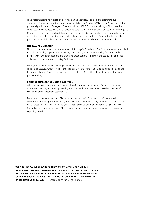The directorate remains focused on training, running exercises, planning, and promoting public awareness. During the reporting period, approximately 20 NLG, Nisga'a Village, and Nisga'a institution<br>Carlier Charles Contract Carlier Contract Carlier Carlier Charles Charles Charles Charles Charles Charles Char personnel participated in Emergency Operations Centre (EOC) Essentials training in Gitlaxt'aamiks. The directorate supported Nisga'a EOC personnel participation in British Columbia-sponsored Emergency<br>... Management training throughout the northwest region. In addition, the directorate initiated periodic discussion and tabletop training exercises to enhance familiarity with the Plan, protocols, and other public awareness initiatives such as "Shake Out BC," an annual earthquake preparedness drill.

# **Nisg - a'a Foundation**

The directorate undertakes the promotion of NLG's Nisg-a'a Foundation. The foundation was established to seek out funding opportunities to leverage the existing resources of the Nisga'a Nation, and to<br>exists the contract of the contract of the contract of the contract of the contract of the contract of the con partner with various foundations and charitable organizations to promote the social, environmental, and economic aspirations of the Nisga'a Nation.<br>.

During the reporting period, NLG began a review of the foundation's form of incorporation and structure. The original statute, which served as the legal basis for the foundation, is being repealed (i.e. replaced by new legislation). Once the foundation is re-established, NLG will implement the new strategy and pursue funding.

#### **Land Claims Agreement Coalition**

When it comes to treaty-making, Nisga'a Lisims Government has a wealth of experience to share.<br>A As a way of reaching out to and partnering with First Nations across Canada, NLG is a member of the Land Claims Agreement Coalition (LCAC).

During the reporting period, the LCAC hosted a very successful Symposium in Ottawa, which commemorated the 250th Anniversary of the Royal Proclamation of 1763, and held its annual meeting of LCAC leaders in Ottawa. Since 2003, NLG (First Nation Co-Chair) and Nunavut Tungivik Inc. (NTI) (Innuit Co-Chair) have served as LCAC co-chairs. This was again reaffirmed by consensus during the reporting period.

"WE ARE NISGA'A. WE DECLARE TO THE WORLD THAT WE ARE A UNIQUE Aboriginal nation of Canada, proud of our history, and assured in our FUTURE. WE CLAIM AND TAKE OUR RIGHTFUL PLACE AS EQUAL PARTICIPANTS IN Canadian society. Our destiny is living peacefully together with the **other Nations of Canada."** — Declaration of the Nisga'a Nation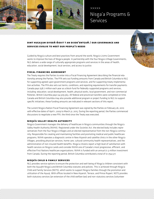

# Nisga'a Programs &<br>Carricas **Services** >>>>>

## **Dimt hugax- am diyeem' n' idiit t an dixde'entgum' / Our governance and services evolve to meet our people's needs**

Guided by Nisga'a culture and best practices from around the world, Nisga'a Lisims Government works to improve the lives of Nisga'a people. In partnership with the four Nisga'a Village Governments,<br>Nissan Charlotte Starting NLG delivers a wide range of culturally appropriate programs and services in the areas of health, education, social development, local services, and access to justice.

#### **Fiscal Financing Agreement**

The Treaty requires the Parties to enter into a Fiscal Financing Agreement describing the financial relationship among the Parties. The FFA sets out funding amounts from Canada and British Columbia to NLG for supporting agreed-upon government programs and services, and for supporting treaty implementation activities. The FFA also sets out terms, conditions, and reporting requirements for transfer payments. Canada pays \$58.7 million each year as a block-fund for federally-supported programs and services, including: education, social development, health, physical works, local government, and non-commercial fisheries. British Columbia pays \$4,509,563. All federal and provincial transfers were completed on time. Canada and British Columbia may also provide additional program or project funding to NLG to support specific initiatives; these funding amounts are indicated in relevant sections of this report.

The current Nisg-a'a Nation Fiscal Financing Agreement was signed by the Parties on February 26, 2010 with effective dates of April 1, 2009 to March 31, 2015. During the reporting period, the Parties commenced discussions to negotiate a new FFA, the third since the Treaty was executed.

# **Nisg - a'a Valley Health Authority**

Nisg-a'a Government manages the delivery of healthcare in Nisg-a'a communities through the Nisg-a'a Valley Health Authority (NVHA). Registered under the *Societies Act*, the elected body includes representatives from the four Nisga'a Villages and an elected representative from the non-Nisga'a community. Responsible for creating and maintaining facilities and promoting medical and public healthcare programs, NVHA operates a diagnostic centre in New Aiyansh and satellite clinics in the other Nisg-a'a Villages, providing physician services, home care, cultural community health representatives, and the administration of non-insured health benefits. Nisga'a citizens report a high level of satisfaction with a str<br>https://www.accounter.com/www.accounter.com/www.accounter.com/www.accounter.com/www.accounter.com/www.accounte health services on Nisga'a Lands and consider NVHA one of Canada's most progressive, efficient, and<br>And the constitution of the consideration of the constitution of the constitution of the constitution of the c effective First Nations healthcare organizations. NVHA is funded with an annual \$1.3 million investment from Canada. During the reporting period, British Columbia contributed a total of \$1,794,577.

# **Nisg - a'a Child & Family Services**

NLG provides service options to ensure the protection and well-being of Nisga'a children consistent with<br>https://www.archivesor.com/web/2020/web/2020/web/2020/web/2020/web/2020/web/2020 both the Ayuukhl Nisga'a and British Columbia statutes and policies. This is achieved through Nisga'a<br>Clittle and Clienty Colombia statutes and policies. This is achieved through Nisga'a Child and Family Services (NCFS), which works to support Nisg-a'a families through the promotion and utilization of the Ayuuk. With offices located in New Aiyansh, Terrace, and Prince Rupert, NCFS provides both statutory services (an extension of the child welfare law) and non-statutory services (volunteer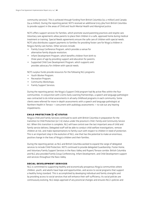community services). This is achieved through funding from British Columbia (\$2.2 million) and Canada (\$4.4 million). During the reporting period, NCFS received an additional \$103,584 from British Columbia to provide support in the areas of Child and Youth Mental Health and Aboriginal Justice.

NCFS offers support services for families, which promote sound parenting practices and respite care. Voluntary care agreements allow parents to place their children in a safe, approved home during medical treatment or training. Special Needs agreements ensure the safe care of children with special needs. NCFS also distributes support payments to families for providing foster care for Nisg-a'a children in Nisg-a'a family care homes. Other services include:

- ́ Family Group Conference Program, which provides a venue for alternative family dispute resolution;
- ́ Infant Development Program, which benefits children from birth to three years of age by providing support and education for parents;
- ́ Supported Child Care Development Program, which supports and provides advocacy for children with special needs.

NCFS surplus funds provide resources for the following NLG programs:

- ́ Youth Worker Program;
- ́ Recreation Program;
- ́ Community Workshops;
- **•** Family Support Services.

During the reporting period, the Nisga'a Support Child program had 89 active files within the four<br>All the contract of the contract of the contract of the contract of the contract of the contract of the contra communities. In conjunction with Lisims Early Learning Partnerships, a speech and language pathologist was contracted to do initial assessments in all early childhood programs in each community. Some clients were referred for more in-depth assessments with a speech and language pathologist at Northern Health in Terrace — concurrent with audiology assessments — to rule out any hearing impediments.

#### **Child Protection (C-6) Status**

Nisg-a'a Child and Family Services continued to work with British Columbia in preparation for the transition to Child Protection (or C-6) status under the province's *Child, Family and Community Service Act*. When this transition is complete, NLG will have control over the last important area of child and family service delivery. Delegated staff will be able to conduct child welfare investigations, remove children at risk, and make representations to family court with respect to children in need of protection. This is an important step in the evolution of NLG, one that has the potential to make an enormous, positive change in the lives of Nisga'a children and their families.<br>'

During the reporting period, as NLG and British Columbia worked to expand the range of delegated services to include Child Protection, NCFS continued to provide delegated Guardianship, Foster Home, and Voluntary Family Support Services in the Nass Valley and Rupert/Terrace corridor. British Columbia and NLG also provided Family Group Conferencing, Infant Development, and Child Development support and services throughout the Nass Valley.

#### **Social Development Services**

NLG is committed to supporting healthy and economically prosperous Nisga'a communities where<br>All the communities where children, youth, and adults have hope and opportunities, and access to social programs that support a healthy living standard. This is accomplished by developing individual and family strengths and by providing access to social services that will enhance their self-sufficiency. As social policies are continuously evolving, NLG keeps apprised of any provincial changes and ensures NLG's policies and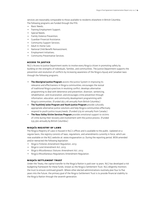services are reasonably comparable to those available to residents elsewhere in British Columbia. The following programs are funded through the FFA:

- ́ Basic Needs;
- ́ Training Employment Support;
- ́ Special Needs;
- **•** Family Violence Prevention;
- ́ Guardian Financial Assistance;
- ́ Community Support Services;
- ́ Adult In-Home Care;
- ́ National Child Benefit Reinvestment;
- **Employment Initiatives;**
- ́ Community Preventative Services.

#### **Access to Justice**

NLG's Access to Justice Department works to involve every Nisg-a'a citizen in promoting safety by building on the strengths of individuals, families, and communities. The Justice Department supports the prevention and resolution of conflicts by increasing awareness of the Nisga'a Ayuuk and Canadian laws<br>... through the following programs.

- The Aboriginal Justice Program assists the Justice System in improving its relevance and effectiveness in Nisga'a communities; encourages the revival of traditional Nisg-a'a practices in resolving conflict; develops alternative programming to deal with deterrence and prevention, diversion, sentencing, rehabilitation, and incarceration; and encourages crime prevention through information, education, and community development programming with Nisg-a'a communities. (Funded \$62,218 annually from British Columbia.)
- **The Yuuhlimk'askw Program and Youth Justice Program** provide culturally appropriate alternative justice solutions and help Nisga'a communities effectively respond to youth justice issues/needs. (Funded \$79,101 annually from Canada.)
- The Nass Valley Victim Services Program provides emotional support to victims of crime during their recovery and involvement with the justice process. (Funded \$35,560 annually by British Columbia.)

# **Nisg - a'a Registry of Laws**

The Nisga'a Registry of Laws is housed in NLG's offices and is available to the public. Updated on a<br>All the contract of the contract of the contract of the contract of the contract of the contract of the contra regular basis, the registry consists of laws, regulations, and amendments currently in force, which are now available on the NLG website at: www.nisgaanation.ca. During the reporting period, WSN amended and/or reenacted the following legislation:

- **Participa Amendment Regulation, 2013;**<br>• *Alian Library American Library American* Politics
- ́ *Nisg-a'a Land Amendment Act, 2013;*
- ́ *Nisg-a'a Miscellaneous Statures Amendment Act, 2013;*
- Nisga'a Miscellaneous Regulations Amendment Regulation.

# **Nisg - a'a Settlement Trust**

Under the Treaty, the capital transfer to the Nisga'a Nation is paid over 14 years. NLG has developed a risk<br>In the case of the capital transfer to the Nisga'a Nation is paid over 14 years. NLG His and the capital is th budgeting framework for these funds, known as the Nisg-a'a Settlement Trust. NLG diligently monitors the trust to ensure continued growth. Where other elected administrations routinely plan four to five years into the future, the primary goal of the Nisg-a'a Settlement Trust is to provide financial stability to the Nisga'a Nation through the seventh generation.<br>'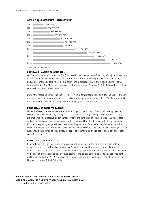



\*Annual fund value (on March 31).

#### **Capital Finance Commission**

NLG's Capital Finance Commission (CFC) was established to enable the financing of major maintenance or replacement of FFA listed assets. In addition, the Commission is responsible for management and control of the Capital Finance Commission fund in accordance with the *Nisg-a'a Capital Finance Commission Act*. The CFC meets to consider submissions under Schedule C of the FFA, and to consider submissions under the *New Assets Act*.

During the reporting period, the Capital Projects Administrator carried out an extensive update the CFC database to assist the commission in its decision-making regarding submissions. The database provides information on available annual replacement and major maintenance costs.

#### **Personal Income Taxation**

Under the Treaty, the income tax exemption for Nisg-a'a citizens, and all Status Indians employed on Nisga'a Lands, expired January 1, 2013. Nisga'a citizens are no longer exempt from income tax if they<br>All the control of the control of the control of the control of the control of the control of the control of t are employed on any reserve land in Canada. Prior to the conclusion of the exemption, NLG negotiated and executed revenue sharing agreements with Canada and British Columbia. Under these agreements, income taxes paid by Nisga'a citizens resident on Nisga'a Lands flow to the Nisga'a Nation. In addition,<br>Ali and a citizens of the Lands of the Lands flow to the Nisga'a Lands flow to the Nisga'a Nation. In addition some income taxes paid by non-Nisga'a citizens resident on Nisga'a Lands also flow to the Nisga'a Nation.<br>Radio dia national provincial control in the College of the Night of Lands also flow to the Nisga'a Nation. Residency is determined as the ordinary residence of the individual on the last calendar day of each tax year (December 31st).

#### **Consumption Taxation**

In accordance with the Treaty, relief from consumption taxes  $-$  in the form of remission orders  $$ expired on June 1, 2008 for all persons within Nisga'a Lands and for Nisga'a citizens elsewhere in<br>Canada in the land of the lands of the lands of the lands of the contract of the lands of the lands of the lan Canada. Under the Provincial Sales Tax Revenue Sharing Agreement (PSTRSA), British Columbia shares 50 percent of provincial sales tax revenues estimated to be attributable to Nisga'a citizens resident on Nisga'a Lands. The PSTRSA replaces all previous consumption taxation agreements between the<br>Nime is Nevious als in the Colombia Nisga'a Nation and British Columbia.

"WE ARE NISGA'A, THE PEOPLE OF K'ALII-AKSIM LISIMS. MAY K'AM Ligii Hahlhaahl continue to protect our land and nation." — Declaration of the Nisga'a Nation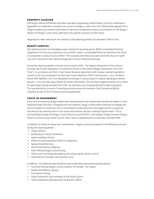#### **Property Taxation**

The Nisga'a Nation and British Columbia have been negotiating a Real Property Taxation Coordination<br>. Agreement to implement a property tax system on Nisga'a Lands since 2010. Both parties agreed that a<br>All the control of the control of the control of the control of the control of the control of the control of t Nisga'a property tax system would need to take into consideration unique circumstances of the Nisga'a<br>Alais Charles Charles Charles Charles Charles Charles Charles Charles Charles Charles Charles Charles Charles Nation and Nisga'a Lands while adhering to the specific provisions of the Treaty.<br>.

Negotiations were inactive for the majority of the reporting period, but resumed in March 2014.

#### **Budget Surplus**

NLG posted another record budget surplus during the reporting period. While consolidated financial statements for fiscal 2012 reported a \$14.3 million surplus, consolidated financial statements for fiscal 2013 reported a surplus of \$23.9 million. The surpluses over these two years were the result of significant one-time events and careful management of NLG's financial resources.

During the reporting period, revenues rose to \$99.8 million. The largest component of this revenue increase was further realization of investment income in the Interim Nisga'a Settlement Trust (the<br>Tau and the control of the Carlo Carlo Carlo Carlo Carlo Carlo Carlo Carlo Carlo Carlo Carlo Carlo Carlo Carlo "Trust"). In accordance with NLG's Own Source Revenue Agreement with Canada, realized investment income of the Trust remained free from Own Source Revenue ("OSR") until January 1, 2013. To reduce future OSR liabilities, the Trust liquidated its holdings in various assets to realize capital gains before January 1, 2013 and then repurchased the assets afterwards. This resulted in approximately \$19.9 million of capital gains being excluded from OSR. Tax revenues also increased during the reporting period. This was partially as a result of receiving personal income tax revenues from Canada and British Columbia as part of NLG's revenue sharing agreements.

#### **Youth in Government**

From time immemorial, Nisga'a elders have selected youth and trained them to become leaders of their respective wilps (houses). In keeping with this tradition, Nisga'a Government continues to engage and<br>. train the leaders of tomorrow. NLG is committed to improving access for Nisg-a'a youth to programs and services by involving them in the social and economic decision-making of government. This is accomplished through the Nisga'a Youth Advisory Council (NYAC). Each Nisga'a Village and each Nisga'a<br>... Urban Local has its own Youth Council, which sends a representative to the seven-member NYAC.

In addition to taking an active role in government, Nisga'a youth participated in the following activities<br>. during the reporting period:

- ́ Treaty training;
- ́ Gathering Our Voices Conference;
- ́ Youth and Elders Forum;
- **•** Effective Communications Skills for Leadership;
- **•** Special Assembly 2014;
- **Youth Parliamentary Meeting;**
- **•** River Rafting Nisga'a Culture Camp;<br>and Culture of the control of the control
- $\blacksquare$  YMCA youth exchange (attended by the Gitlax $t$ 'aamiks Youth Council);
- ́ Gathering Our Strength Canoe Journey 2014.

In addition, the following new initiatives were undertaken during the reporting period:

- two River Rafting Nisga'a Culture Camps (1 for female, 1 for males);<br>المقطوعات المناسبات
- Health and Wellness groups;
- **•** Facilitation training;
- ́ Treaty Training for new members of the Youth Council;
- ́ Youth Conference (hosted by the Terrace NLG office).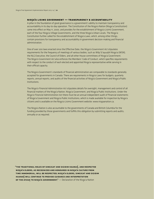# **Nisg - a'a Lisims Government —— Transparency & Accountability**

A pillar in the foundation of good governance is a government's ability to maintain transparency and accountability in its day-to-day operation. The Constitution of the Nisg-a'a Nation (Nisg-a'a Constitution) came into effect on May 11, 2000, and provides for the establishment of Nisga'a Lisims Government,<br>Ali and a Table 1, Ali and a Village of The Minister of Nissan Ali and a Table 1, Ali and a Table 1, Ali and A each of the four Nisga'a Village Governments, and the three Nisga'a Urban Locals. The Nisga'a<br>Canadian March 2011, and the the theory of the three Nisga'a Urban Locals. The Nisga'a Constitution further called for the establishment of Nisg-a'a Laws, which, among other things, contain provisions for transparency and accountability in government decision-making and financial administration.

One of over 200 laws enacted since the Effective Date, the *Nisga'a Government Act* stipulates<br>And the contract of the contract of the contract of the contract of the contract of the contract of the contract requirements for the frequency of meetings of various bodies, such as Wilp Si'ayuukhl Nisga'a (WSN),<br>https://www.care.org/wild-assembly-service-service-service-service-service-service-service-service-service-ser the NLG Executive, the Council of Elders, and all other House committees of Nisga'a Government.<br>The Mini of Carel of Addisional Carel of Carel of Carel of Carel of Carel of Carel of Carel of Carel of Carel The *Nisg-a'a Government Act* also enforces the Members' Code of Conduct, which specifies requirements with respect to the conduct of each elected and appointed Nisg-a'a representative while serving in their official capacity.

The Nisg-a'a Government's standards of financial administration are comparable to standards generally accepted for governments in Canada. There are requirements in Nisga'a Laws for budgets, quarterly<br>All the contract of the contract of the contract of the contract of the contract of the contract of the contra reports, annual reports, and audits of the financial activities of Nisga'a Government and Nisga'a Public<br>' Institutions.

The *Nisga'a Financial Administration Act s*tipulates details for oversight, management and control of all<br>Canadia and a late of the Ministration Act of the Line of all the Ministration of the Line of the Line of the M financial matters of the Nisga'a Nation, Nisga'a Government, and Nisga'a Public Institutions. Under the<br>Alimental Controller Library of the Controller Controller of the Controller Controller Controller Controller C *Nisg-a'a Financial Administration Act* there must be an annual independent audit of financial statements of Nisga'a Government and Nisga'a Public Institutions, which is made available for inspection by Nisga'a<br>... citizens and is available on the Nisga'a Lisims Government website: www.nisgaanation.ca.<br>.

The Nisga'a Nation is also accountable to the governments of Canada and British Columbia for the<br>Canada is a collected with the state of the state of the state of the state of the state of the state of the funding provided by those governments and fulfills this obligation by submitting reports and audits, annually or as required.

"THE TRADITIONAL ROLES OF SIMGIGAT AND SIGIDIM HAANA $\dot{\mathbf{g}}$ , and respected NISGA'A ELDERS, AS RECOGNIZED AND HONOURED IN NISGA'A CULTURE FROM TIME IMMEMORIAL, WILL BE RESPECTED; NISGA'A ELDERS, SIMGIGAT AND SIGIDIM<br>' HAANAK WILL CONTINUE TO PROVIDE GUIDANCE AND INTERPRETATION **of the Ayuuk to NisgA'A GOVERNMENT."** — Declaration of the Nisga'a Nation<br>-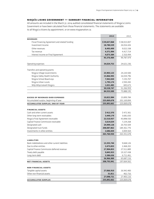# **Nisg - a'a Lisims Government —— Summary Financial Information**

All amounts are included in the March 31, 2014 audited consolidated financial statements of Nisga'a Lisims<br>C Government or have been calculated from those financial statements. The statements are available to all Nisga'a citizens by appointment, or on www.nisgaanation.ca.<br>.

|                                                         | 2014                     | 2013                     |
|---------------------------------------------------------|--------------------------|--------------------------|
| <b>REVENUES</b>                                         |                          |                          |
| Fiscal Financing Agreement and related funding          | \$59,657,068             | \$58,015,007             |
| Investment Income                                       | 18,780,539               | 26,016,426               |
| Other revenues                                          | 8,493,499                | 9,022,338                |
| Tax revenue                                             | 4,371,994                | 4,417,714                |
| Interest income on Final Agreement                      | 4,073,384                | 2,316,494                |
|                                                         | 95,376,484               | 99,787,979               |
|                                                         |                          |                          |
| Operating expenses                                      | 34,024,753               | 24,621,236               |
| Transfers and operating grants                          |                          |                          |
| Nisga'a Village Governments                             | 23,903,123               | 24,220,500               |
| Nisga'a Valley Health Authority                         | 15,866,945               | 16,034,796               |
| Nisga'a School Board #92                                | 7,942,020                | 7,235,707                |
| Nisga'a Urban Locals                                    | 1,795,174                | 2,930,283                |
| Wilp Wilxo'oskwhl Nisga'a                               | 1,021,485                | 845,673                  |
|                                                         | 50,528,747               | 51,266,959               |
|                                                         | 84,553,500               | 75,888,195               |
|                                                         |                          |                          |
| <b>EXCESS OF REVENUES OVER EXPENSES</b>                 | 10,822,984               | 23,899,784               |
| Accumulated surplus, beginning of year                  | 225,069,678              | 201,169,894              |
| ACCUMULATED SURPLUS, END OF YEAR                        | 235,892,662              | 225,069,678              |
|                                                         |                          |                          |
| <b>FINANCIAL ASSETS</b>                                 |                          |                          |
| Cash and other current assets                           | \$412,370                | \$472,361                |
| Other long-term receivables                             | 3,449,179                | 3,681,650                |
| Nisga'a Final Agreement receivable                      | 22,510,937               | 43,898,550               |
| Capital Finance Commission receivable                   | 3,614,634                | 7,229,268                |
| Designated cash                                         | 24,999,128               | 20,703,509               |
| Designated trust funds<br>Investments in other entities | 208,087,862<br>2,686,820 | 184,361,776<br>3,004,564 |
|                                                         | 265,760,930              | 263,351,678              |
|                                                         |                          |                          |
| <b>LIABILITIES</b>                                      |                          |                          |
| Bank indebtedness and other current liabilities         | 13,355,744               | 9,668,126                |
| Due to other entities                                   | 2,473,833                | 2,468,202                |
| Capital Finance Commission deferred revenue             | 27,904,853               | 27,511,889               |
| Treaty debt payable                                     | 9,845,923                | 19,327,438               |
| Long-term debt                                          | 3,386,636                | 6,711,461                |
|                                                         | 56,966,989               | 65,687,116               |
| <b>NET FINANCIAL ASSETS</b>                             | 208,793,941              | 197,664,562              |
|                                                         |                          |                          |
| <b>NON-FINANCIAL ASSETS</b><br>Tangible capital assets  | 27,066,910               | 26,942,400               |
| Other non-financial assets                              | 31,811                   | 462,716                  |
|                                                         | 27,098,721               | 27,405,116               |
| ACCUMULATED SURPLUS                                     | 235,892,662              | 225,069,678              |
|                                                         |                          |                          |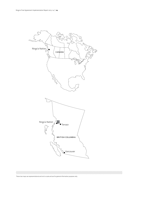

 $\label{eq:main} \begin{minipage}{0.9\linewidth} \begin{minipage}{0.9\linewidth} \begin{minipage}{0.9\linewidth} \begin{minipage}{0.9\linewidth} \end{minipage} \end{minipage} \begin{minipage}{0.9\linewidth} \begin{minipage}{0.9\linewidth} \begin{minipage}{0.9\linewidth} \end{minipage} \end{minipage} \begin{minipage}{0.9\linewidth} \begin{minipage}{0.9\linewidth} \begin{minipage}{0.9\linewidth} \end{minipage} \end{minipage} \begin{minipage}{0.9\linewidth} \begin{minipage}{0.9\linewidth} \end{minipage} \end{minipage} \$ 

These two maps are representational and not to scale and are for general information purposes only.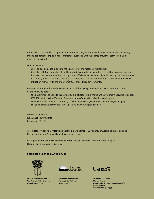Information contained in this publication or product may be reproduced, in part or in whole, and by any means, for personal or public non-commercial purposes, without charge or further permission, unless otherwise specified.

You are asked to:

- ́ exercise due diligence in ensuring the accuracy of the materials reproduced;
- ́ indicate both the complete title of the materials reproduced, as well as the author organization; and
- ́ indicate that the reproduction is a copy of an official work that is jointly published by the Governments of Canada, British Columbia, and Nisga'a Nation, and that the reproduction has not been produced in<br>- هذا المناسب المناسب المناسب المناسب المناسب المناسب المناسب المناسب المناسب المناسب المناسب المناسب المناسب affiliation with, or with the endorsement, of these three governments.

Commercial reproduction and distribution is prohibited except with written permission from the all of the following parties:

- ́ the Government of Canada's copyright administrator, Public Works and Government Services of Canada (PWGSC) at 613-996-6886 or at: CommunicationsPublications@aadnc-aandc.gc.ca
- ́ the Government of British Columbia, at www.cio.gov.bc.ca/cio/intellectualproperty/index.page
- Nisga'a Lisims Government at 250-633-3000 or www.nisgaanation.ca<br>•

QS-B010-100-EE-A1 ISSN: 1919-2940 (Print) Catalogue: R1-17E

© Minister of Aboriginal Affairs and Northern Development, BC Ministry of Aboriginal Relations and Reconciliation, and Nisga'a Lisims Government, (2017).

Cette publication est aussi disponible en français sous le titre : L'Accord définitif Nisga'a —<br>P Rapport de mise en œuvre 2013-14.

#### Published under the authority of:



Nisga'a Lisims Government<br>Navy Airpeab, British Calum New Aiyansh, British Columbia www.nisgaanation.ca



Province of British Columbia Victoria, British Columbia www.gov.bc.ca



Government of Canada Ottawa, Ontario www.canada.ca/indigenous-northern-affairs 1-800-567-9604 TTY only 1-866-553-0554